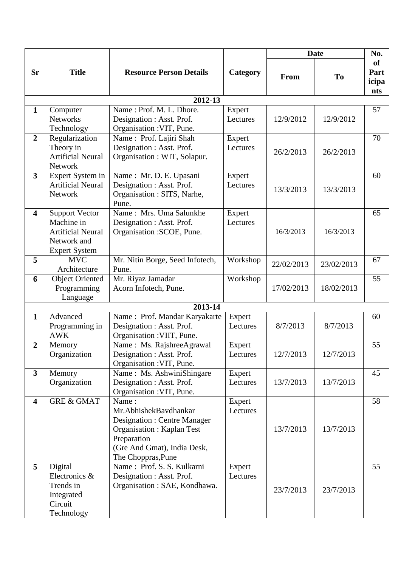|                         |                                                                                                        |                                                                                                                                                                        |                    | <b>Date</b> |            | No.                                      |  |  |  |
|-------------------------|--------------------------------------------------------------------------------------------------------|------------------------------------------------------------------------------------------------------------------------------------------------------------------------|--------------------|-------------|------------|------------------------------------------|--|--|--|
| Sr                      | <b>Title</b>                                                                                           | <b>Resource Person Details</b>                                                                                                                                         | Category           | From        | To         | <b>of</b><br>Part<br>icipa<br><b>nts</b> |  |  |  |
| 2012-13                 |                                                                                                        |                                                                                                                                                                        |                    |             |            |                                          |  |  |  |
| $\mathbf{1}$            | Computer<br><b>Networks</b><br>Technology                                                              | Name: Prof. M. L. Dhore.<br>Designation : Asst. Prof.<br>Organisation : VIT, Pune.                                                                                     | Expert<br>Lectures | 12/9/2012   | 12/9/2012  | 57                                       |  |  |  |
| $\overline{2}$          | Regularization<br>Theory in<br><b>Artificial Neural</b><br>Network                                     | Name: Prof. Lajiri Shah<br>Designation : Asst. Prof.<br>Organisation : WIT, Solapur.                                                                                   | Expert<br>Lectures | 26/2/2013   | 26/2/2013  | 70                                       |  |  |  |
| $\overline{3}$          | Expert System in<br><b>Artificial Neural</b><br>Network                                                | Name: Mr. D. E. Upasani<br>Designation : Asst. Prof.<br>Organisation : SITS, Narhe,<br>Pune.                                                                           | Expert<br>Lectures | 13/3/2013   | 13/3/2013  | 60                                       |  |  |  |
| $\overline{\mathbf{4}}$ | <b>Support Vector</b><br>Machine in<br><b>Artificial Neural</b><br>Network and<br><b>Expert System</b> | Name: Mrs. Uma Salunkhe<br>Designation : Asst. Prof.<br>Organisation : SCOE, Pune.                                                                                     | Expert<br>Lectures | 16/3/2013   | 16/3/2013  | 65                                       |  |  |  |
| 5                       | <b>MVC</b><br>Architecture                                                                             | Mr. Nitin Borge, Seed Infotech,<br>Pune.                                                                                                                               | Workshop           | 22/02/2013  | 23/02/2013 | 67                                       |  |  |  |
| 6                       | <b>Object Oriented</b><br>Programming<br>Language                                                      | Mr. Riyaz Jamadar<br>Acorn Infotech, Pune.                                                                                                                             | Workshop           | 17/02/2013  | 18/02/2013 | 55                                       |  |  |  |
|                         |                                                                                                        | 2013-14                                                                                                                                                                |                    |             |            |                                          |  |  |  |
| $\mathbf{1}$            | Advanced<br>Programming in<br><b>AWK</b>                                                               | Name: Prof. Mandar Karyakarte<br>Designation : Asst. Prof.<br>Organisation : VIIT, Pune.                                                                               | Expert<br>Lectures | 8/7/2013    | 8/7/2013   | 60                                       |  |  |  |
| $\boldsymbol{2}$        | Memory<br>Organization                                                                                 | Name: Ms. RajshreeAgrawal<br>Designation : Asst. Prof.<br>Organisation : VIT, Pune.                                                                                    | Expert<br>Lectures | 12/7/2013   | 12/7/2013  | 55                                       |  |  |  |
| $\mathbf{3}$            | Memory<br>Organization                                                                                 | Name: Ms. AshwiniShingare<br>Designation : Asst. Prof.<br>Organisation : VIT, Pune.                                                                                    | Expert<br>Lectures | 13/7/2013   | 13/7/2013  | 45                                       |  |  |  |
| $\overline{\mathbf{4}}$ | <b>GRE &amp; GMAT</b>                                                                                  | Name:<br>Mr.AbhishekBavdhankar<br>Designation : Centre Manager<br><b>Organisation: Kaplan Test</b><br>Preparation<br>(Gre And Gmat), India Desk,<br>The Choppras, Pune | Expert<br>Lectures | 13/7/2013   | 13/7/2013  | 58                                       |  |  |  |
| 5                       | Digital<br>Electronics &<br>Trends in<br>Integrated<br>Circuit<br>Technology                           | Name: Prof. S. S. Kulkarni<br>Designation : Asst. Prof.<br>Organisation: SAE, Kondhawa.                                                                                | Expert<br>Lectures | 23/7/2013   | 23/7/2013  | 55                                       |  |  |  |